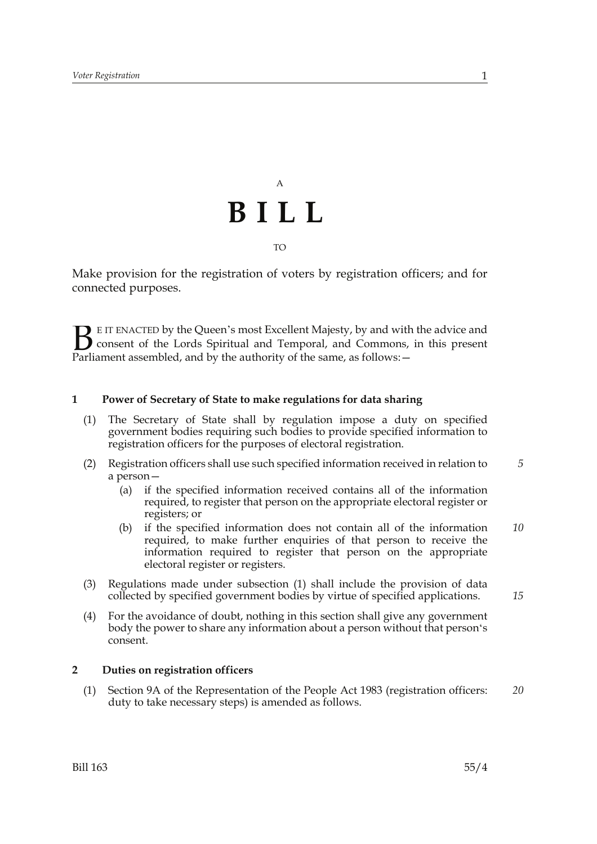## A **BILL** TO

Make provision for the registration of voters by registration officers; and for connected purposes.

E IT ENACTED by the Queen's most Excellent Majesty, by and with the advice and consent of the Lords Spiritual and Temporal, and Commons, in this present **B** E IT ENACTED by the Queen's most Excellent Majesty, by and with consent of the Lords Spiritual and Temporal, and Commons, Parliament assembled, and by the authority of the same, as follows:  $-$ 

### **1 Power of Secretary of State to make regulations for data sharing**

- (1) The Secretary of State shall by regulation impose a duty on specified government bodies requiring such bodies to provide specified information to registration officers for the purposes of electoral registration.
- (2) Registration officers shall use such specified information received in relation to a person— *5*
	- (a) if the specified information received contains all of the information required, to register that person on the appropriate electoral register or registers; or
	- (b) if the specified information does not contain all of the information required, to make further enquiries of that person to receive the information required to register that person on the appropriate electoral register or registers. *10*
- (3) Regulations made under subsection (1) shall include the provision of data collected by specified government bodies by virtue of specified applications.
	-

*15*

(4) For the avoidance of doubt, nothing in this section shall give any government body the power to share any information about a person without that person's consent.

#### **2 Duties on registration officers**

(1) Section 9A of the Representation of the People Act 1983 (registration officers: duty to take necessary steps) is amended as follows. *20*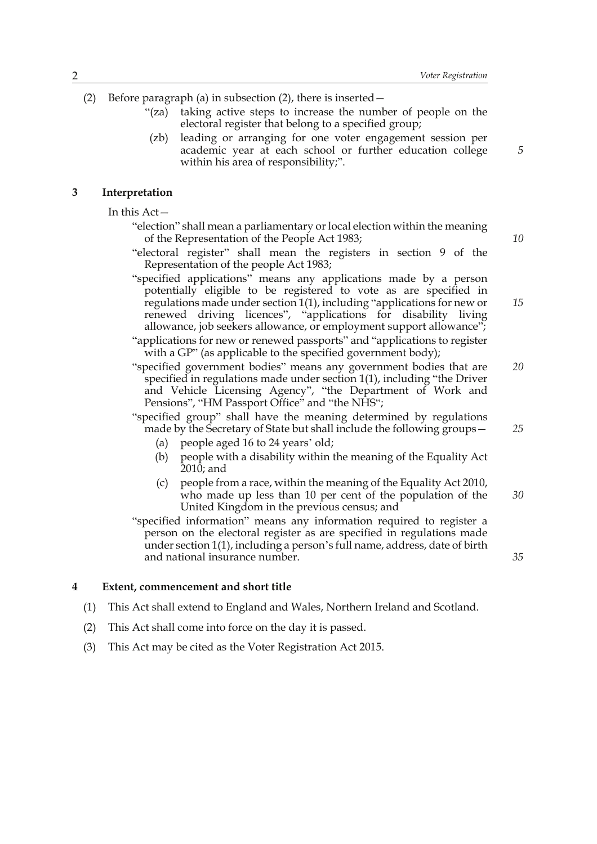(2) Before paragraph (a) in subsection (2), there is inserted—

- "(za) taking active steps to increase the number of people on the electoral register that belong to a specified group;
- (zb) leading or arranging for one voter engagement session per academic year at each school or further education college within his area of responsibility;".

#### **3 Interpretation**

In this Act—

- "election" shall mean a parliamentary or local election within the meaning of the Representation of the People Act 1983;
- "electoral register" shall mean the registers in section 9 of the Representation of the people Act 1983;
- "specified applications" means any applications made by a person potentially eligible to be registered to vote as are specified in regulations made under section 1(1), including "applications for new or renewed driving licences", "applications for disability living allowance, job seekers allowance, or employment support allowance";
- "applications for new or renewed passports" and "applications to register with a GP" (as applicable to the specified government body);
- "specified government bodies" means any government bodies that are specified in regulations made under section 1(1), including "the Driver and Vehicle Licensing Agency", "the Department of Work and Pensions", "HM Passport Office" and "the NHS"; *20*
- "specified group" shall have the meaning determined by regulations made by the Secretary of State but shall include the following groups—
	- (a) people aged 16 to 24 years' old;
	- (b) people with a disability within the meaning of the Equality Act 2010; and
	- (c) people from a race, within the meaning of the Equality Act 2010, who made up less than 10 per cent of the population of the United Kingdom in the previous census; and *30*
- "specified information" means any information required to register a person on the electoral register as are specified in regulations made under section 1(1), including a person's full name, address, date of birth and national insurance number.

#### **4 Extent, commencement and short title**

- (1) This Act shall extend to England and Wales, Northern Ireland and Scotland.
- (2) This Act shall come into force on the day it is passed.
- (3) This Act may be cited as the Voter Registration Act 2015.

*10*

*5*

*15*

*25*

*35*